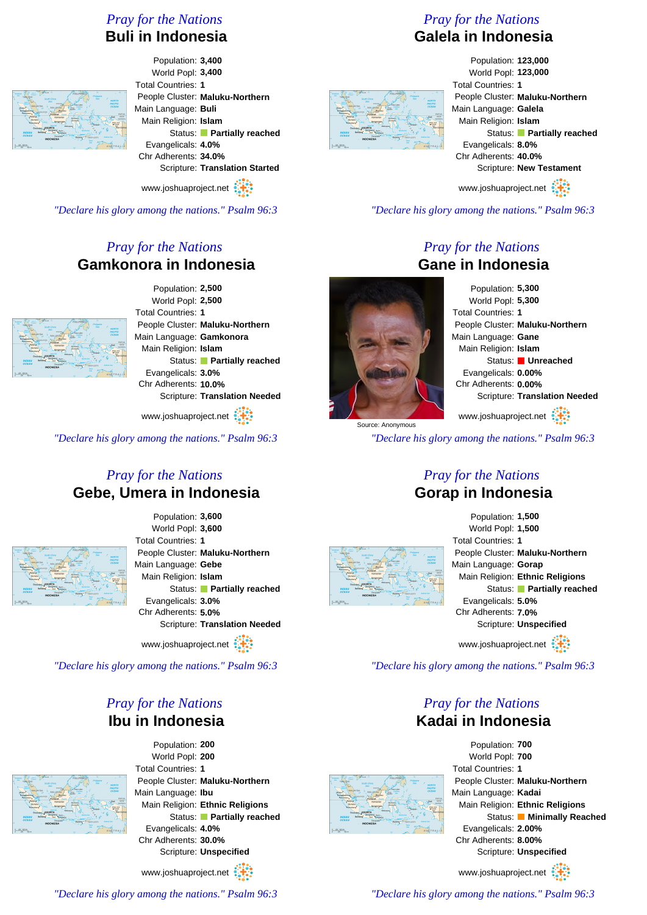# *Pray for the Nations* **Buli in Indonesia**



Population: **3,400** World Popl: **3,400** Total Countries: **1** People Cluster: **Maluku-Northern** Main Language: **Buli** Main Religion: **Islam** Status: **Partially reached** Evangelicals: **4.0%** Chr Adherents: **34.0%** Scripture: **Translation Started**

www.joshuaproject.net

*"Declare his glory among the nations." Psalm 96:3*

# *Pray for the Nations* **Gamkonora in Indonesia**



Population: **2,500** World Popl: **2,500** Total Countries: **1** People Cluster: **Maluku-Northern** Main Language: **Gamkonora** Main Religion: **Islam** Status: **Partially reached** Evangelicals: **3.0%** Chr Adherents: **10.0%** Scripture: **Translation Needed**

www.joshuaproject.net

*"Declare his glory among the nations." Psalm 96:3*

#### *Pray for the Nations* **Gebe, Umera in Indonesia**



Population: **3,600** World Popl: **3,600** Total Countries: **1** People Cluster: **Maluku-Northern** Main Language: **Gebe** Main Religion: **Islam** Status: **Partially reached** Evangelicals: **3.0%** Chr Adherents: **5.0%** Scripture: **Translation Needed**

www.joshuaproject.net

*"Declare his glory among the nations." Psalm 96:3*

# *Pray for the Nations* **Ibu in Indonesia**

Population: **200** World Popl: **200** Total Countries: **1** People Cluster: **Maluku-Northern** Main Language: **Ibu** Main Religion: **Ethnic Religions** Status: **Partially reached** Evangelicals: **4.0%** Chr Adherents: **30.0%** Scripture: **Unspecified**

www.joshuaproject.net

# *Pray for the Nations*

# **Galela in Indonesia**



Population: **123,000** World Popl: **123,000** Total Countries: **1** People Cluster: **Maluku-Northern** Main Language: **Galela** Main Religion: **Islam** Status: **Partially reached** Evangelicals: **8.0%** Chr Adherents: **40.0%** Scripture: **New Testament**

www.joshuaproject.net

*"Declare his glory among the nations." Psalm 96:3*

#### *Pray for the Nations* **Gane in Indonesia**

Population: **5,300** World Popl: **5,300** Total Countries: **1** People Cluster: **Maluku-Northern** Main Language: **Gane** Main Religion: **Islam** Status: **Unreached** Evangelicals: **0.00%** Chr Adherents: **0.00%** Scripture: **Translation Needed** www.joshuaproject.net

*"Declare his glory among the nations." Psalm 96:3*

#### *Pray for the Nations* **Gorap in Indonesia**





*"Declare his glory among the nations." Psalm 96:3*

# *Pray for the Nations* **Kadai in Indonesia**



Population: **700** World Popl: **700** Total Countries: **1** People Cluster: **Maluku-Northern** Main Language: **Kadai** Main Religion: **Ethnic Religions** Status: **Minimally Reached** Evangelicals: **2.00%** Chr Adherents: **8.00%** Scripture: **Unspecified** www.joshuaproject.net

*"Declare his glory among the nations." Psalm 96:3*

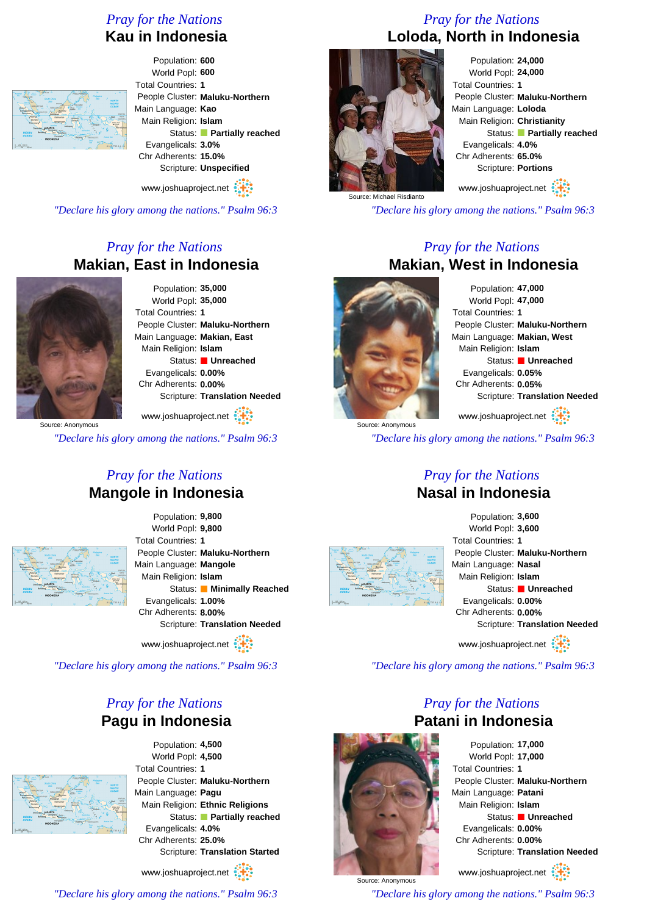# *Pray for the Nations* **Kau in Indonesia**



Population: **600** World Popl: **600** Total Countries: **1** People Cluster: **Maluku-Northern** Main Language: **Kao** Main Religion: **Islam** Status: **Partially reached** Evangelicals: **3.0%** Chr Adherents: **15.0%** Scripture: **Unspecified**

www.joshuaproject.net

*"Declare his glory among the nations." Psalm 96:3*

# *Pray for the Nations* **Makian, East in Indonesia**



Population: **35,000** World Popl: **35,000** Total Countries: **1** People Cluster: **Maluku-Northern** Main Language: **Makian, East** Main Religion: **Islam** Status: **Unreached** Evangelicals: **0.00%** Chr Adherents: **0.00%** Scripture: **Translation Needed**

Source: Anonymous www.joshuaproject.net

*"Declare his glory among the nations." Psalm 96:3*

#### *Pray for the Nations* **Mangole in Indonesia**



Population: **9,800** World Popl: **9,800** Total Countries: **1** People Cluster: **Maluku-Northern** Main Language: **Mangole** Main Religion: **Islam** Status: **Minimally Reached** Evangelicals: **1.00%** Chr Adherents: **8.00%** Scripture: **Translation Needed**

www.joshuaproject.net

*"Declare his glory among the nations." Psalm 96:3*

# *Pray for the Nations* **Pagu in Indonesia**



Population: **4,500** World Popl: **4,500** Total Countries: **1** People Cluster: **Maluku-Northern** Main Language: **Pagu** Main Religion: **Ethnic Religions** Status: **Partially reached** Evangelicals: **4.0%** Chr Adherents: **25.0%** Scripture: **Translation Started**

www.joshuaproject.net

*"Declare his glory among the nations." Psalm 96:3*

# *Pray for the Nations* **Loloda, North in Indonesia**



Population: **24,000** World Popl: **24,000** Total Countries: **1** People Cluster: **Maluku-Northern** Main Language: **Loloda** Main Religion: **Christianity** Status: **Partially reached** Evangelicals: **4.0%** Chr Adherents: **65.0%** Scripture: **Portions**

www.joshuaproject.net

*"Declare his glory among the nations." Psalm 96:3*

# *Pray for the Nations* **Makian, West in Indonesia**



Population: **47,000** World Popl: **47,000** Total Countries: **1** People Cluster: **Maluku-Northern** Main Language: **Makian, West** Main Religion: **Islam** Status: **Unreached** Evangelicals: **0.05%** Chr Adherents: **0.05%** Scripture: **Translation Needed**

www.joshuaproject.net

*"Declare his glory among the nations." Psalm 96:3*

#### *Pray for the Nations* **Nasal in Indonesia**



Population: **3,600** World Popl: **3,600** Total Countries: **1** People Cluster: **Maluku-Northern** Main Language: **Nasal** Main Religion: **Islam** Status: **Unreached** Evangelicals: **0.00%** Chr Adherents: **0.00%** Scripture: **Translation Needed** www.joshuaproject.net

*"Declare his glory among the nations." Psalm 96:3*

# *Pray for the Nations* **Patani in Indonesia**



Source: Anonymous

Population: **17,000** World Popl: **17,000** Total Countries: **1** People Cluster: **Maluku-Northern** Main Language: **Patani** Main Religion: **Islam** Status: **Unreached** Evangelicals: **0.00%** Chr Adherents: **0.00%** Scripture: **Translation Needed**

www.joshuaproject.net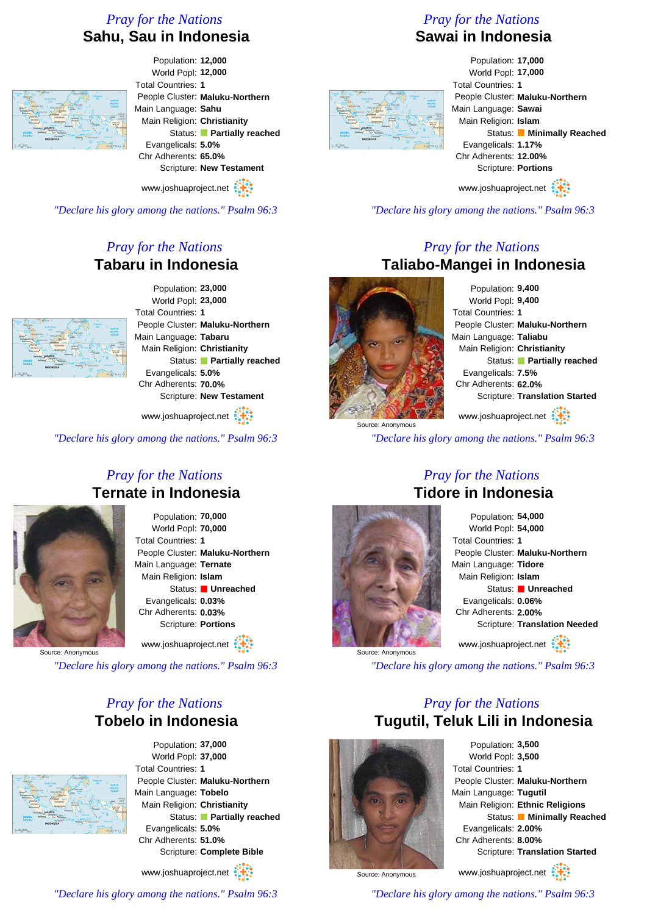# *Pray for the Nations* **Sahu, Sau in Indonesia**



Population: **12,000** World Popl: **12,000** Total Countries: **1** People Cluster: **Maluku-Northern** Main Language: **Sahu** Main Religion: **Christianity** Status: **Partially reached** Evangelicals: **5.0%** Chr Adherents: **65.0%** Scripture: **New Testament**

www.joshuaproject.net

*"Declare his glory among the nations." Psalm 96:3*

# *Pray for the Nations* **Tabaru in Indonesia**



Population: **23,000** World Popl: **23,000** Total Countries: **1** People Cluster: **Maluku-Northern** Main Language: **Tabaru** Main Religion: **Christianity** Status: **Partially reached** Evangelicals: **5.0%** Chr Adherents: **70.0%** Scripture: **New Testament**

www.joshuaproject.net

*"Declare his glory among the nations." Psalm 96:3*

#### *Pray for the Nations* **Ternate in Indonesia**



Population: **70,000** World Popl: **70,000** Total Countries: **1** People Cluster: **Maluku-Northern** Main Language: **Ternate** Main Religion: **Islam** Status: **Unreached** Evangelicals: **0.03%** Chr Adherents: **0.03%** Scripture: **Portions**

www.joshuaproject.net

Source: Anonymous

*"Declare his glory among the nations." Psalm 96:3*

# *Pray for the Nations* **Tobelo in Indonesia**



Population: **37,000** World Popl: **37,000** Total Countries: **1** People Cluster: **Maluku-Northern** Main Language: **Tobelo** Main Religion: **Christianity** Status: **Partially reached** Evangelicals: **5.0%** Chr Adherents: **51.0%** Scripture: **Complete Bible**

www.joshuaproject.net

*"Declare his glory among the nations." Psalm 96:3*

# *Pray for the Nations* **Sawai in Indonesia**



Population: **17,000** World Popl: **17,000** Total Countries: **1** People Cluster: **Maluku-Northern** Main Language: **Sawai** Main Religion: **Islam** Status: **Minimally Reached** Evangelicals: **1.17%** Chr Adherents: **12.00%** Scripture: **Portions**

www.joshuaproject.net

*"Declare his glory among the nations." Psalm 96:3*

# *Pray for the Nations* **Taliabo-Mangei in Indonesia**



Source: Anonymous

Population: **9,400** World Popl: **9,400** Total Countries: **1** People Cluster: **Maluku-Northern** Main Language: **Taliabu** Main Religion: **Christianity** Status: **Partially reached** Evangelicals: **7.5%** Chr Adherents: **62.0%** Scripture: **Translation Started** www.joshuaproject.net

*"Declare his glory among the nations." Psalm 96:3*

#### *Pray for the Nations* **Tidore in Indonesia**



Population: **54,000** World Popl: **54,000** Total Countries: **1** People Cluster: **Maluku-Northern** Main Language: **Tidore** Main Religion: **Islam** Status: **Unreached** Evangelicals: **0.06%** Chr Adherents: **2.00%** Scripture: **Translation Needed** www.joshuaproject.net

*"Declare his glory among the nations." Psalm 96:3*

# *Pray for the Nations* **Tugutil, Teluk Lili in Indonesia**



Population: **3,500** World Popl: **3,500** Total Countries: **1** People Cluster: **Maluku-Northern** Main Language: **Tugutil** Main Religion: **Ethnic Religions** Status: **Minimally Reached** Evangelicals: **2.00%** Chr Adherents: **8.00%** Scripture: **Translation Started** www.joshuaproject.net

Source: Anonymous